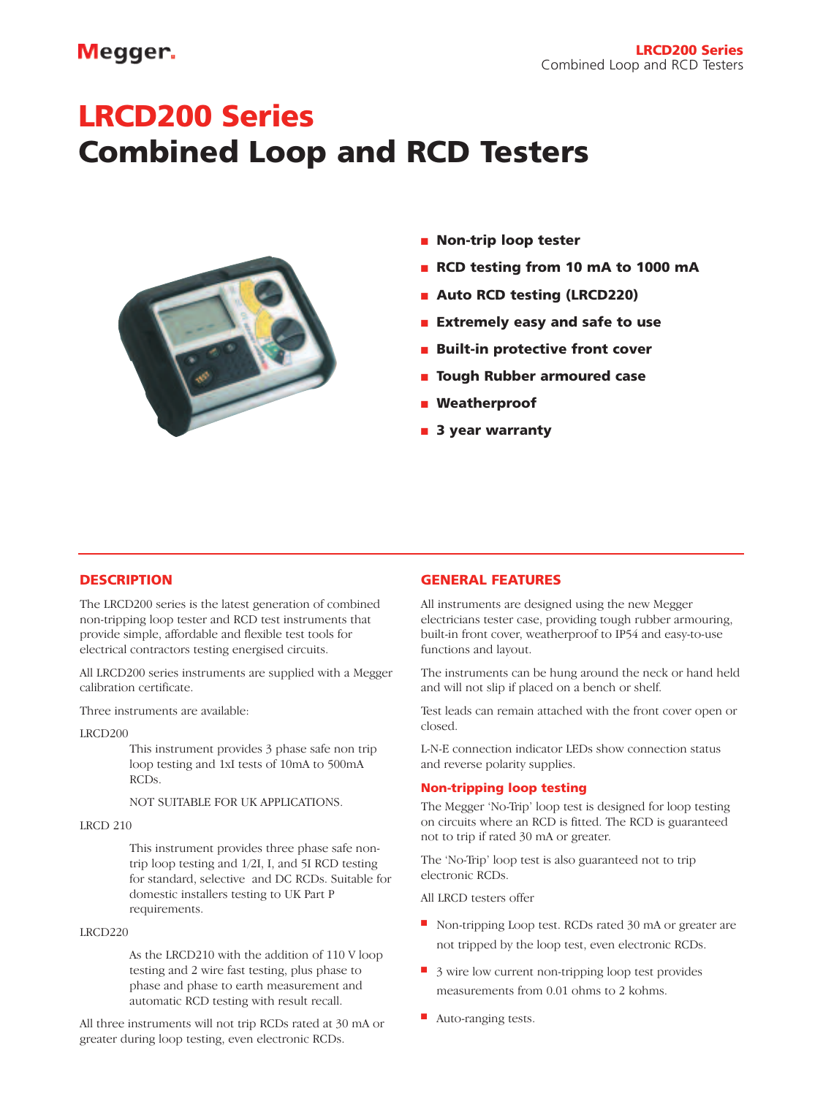# Megger.

# **LRCD200 Series Combined Loop and RCD Testers**



- **Non-trip loop tester**
- **RCD testing from 10 mA to 1000 mA**
- **Auto RCD testing (LRCD220)**
- **Extremely easy and safe to use**
- **Built-in protective front cover**
- **Tough Rubber armoured case**
- **Weatherproof**
- **3 year warranty**

# **DESCRIPTION**

The LRCD200 series is the latest generation of combined non-tripping loop tester and RCD test instruments that provide simple, affordable and flexible test tools for electrical contractors testing energised circuits.

All LRCD200 series instruments are supplied with a Megger calibration certificate.

Three instruments are available:

LRCD200

This instrument provides 3 phase safe non trip loop testing and 1xI tests of 10mA to 500mA RCDs.

### NOT SUITABLE FOR UK APPLICATIONS.

#### LRCD 210

This instrument provides three phase safe nontrip loop testing and 1/2I, I, and 5I RCD testing for standard, selective and DC RCDs. Suitable for domestic installers testing to UK Part P requirements.

#### LRCD220

As the LRCD210 with the addition of 110 V loop testing and 2 wire fast testing, plus phase to phase and phase to earth measurement and automatic RCD testing with result recall.

All three instruments will not trip RCDs rated at 30 mA or greater during loop testing, even electronic RCDs.

# **GENERAL FEATURES**

All instruments are designed using the new Megger electricians tester case, providing tough rubber armouring, built-in front cover, weatherproof to IP54 and easy-to-use functions and layout.

The instruments can be hung around the neck or hand held and will not slip if placed on a bench or shelf.

Test leads can remain attached with the front cover open or closed.

L-N-E connection indicator LEDs show connection status and reverse polarity supplies.

# **Non-tripping loop testing**

The Megger 'No-Trip' loop test is designed for loop testing on circuits where an RCD is fitted. The RCD is guaranteed not to trip if rated 30 mA or greater.

The 'No-Trip' loop test is also guaranteed not to trip electronic RCDs.

All LRCD testers offer

- Non-tripping Loop test. RCDs rated 30 mA or greater are not tripped by the loop test, even electronic RCDs.
- 3 wire low current non-tripping loop test provides measurements from 0.01 ohms to 2 kohms.
- Auto-ranging tests.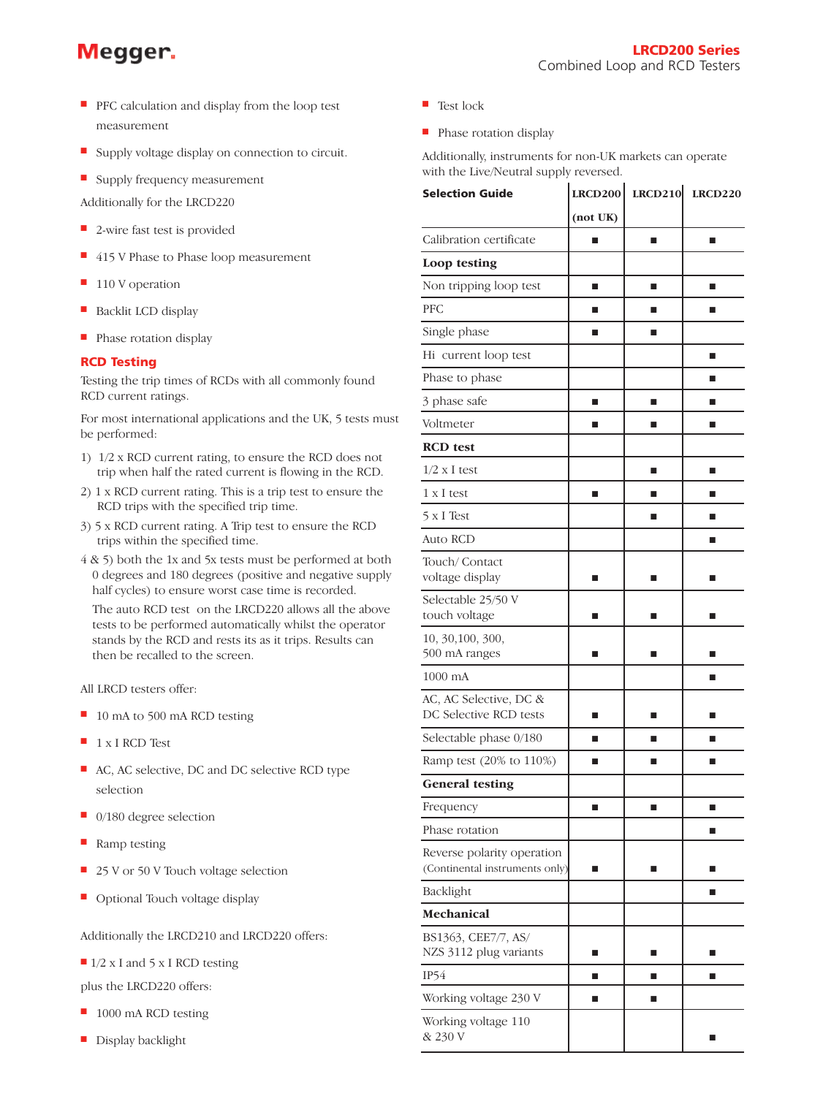# Megger.

- PFC calculation and display from the loop test measurement
- Supply voltage display on connection to circuit.
- Supply frequency measurement
- Additionally for the LRCD220
- 2-wire fast test is provided
- 415 V Phase to Phase loop measurement
- 110 V operation
- Backlit LCD display
- Phase rotation display

# **RCD Testing**

Testing the trip times of RCDs with all commonly found RCD current ratings.

For most international applications and the UK, 5 tests must be performed:

- 1) 1/2 x RCD current rating, to ensure the RCD does not trip when half the rated current is flowing in the RCD.
- 2) 1 x RCD current rating. This is a trip test to ensure the RCD trips with the specified trip time.
- 3) 5 x RCD current rating. A Trip test to ensure the RCD trips within the specified time.
- 4 & 5) both the 1x and 5x tests must be performed at both 0 degrees and 180 degrees (positive and negative supply half cycles) to ensure worst case time is recorded.

The auto RCD test on the LRCD220 allows all the above tests to be performed automatically whilst the operator stands by the RCD and rests its as it trips. Results can then be recalled to the screen.

All LRCD testers offer:

- 10 mA to 500 mA RCD testing
- 1 x I RCD Test
- AC, AC selective, DC and DC selective RCD type selection
- 0/180 degree selection
- Ramp testing
- 25 V or 50 V Touch voltage selection
- Optional Touch voltage display

Additionally the LRCD210 and LRCD220 offers:

■ 1/2 x I and 5 x I RCD testing

plus the LRCD220 offers:

- 1000 mA RCD testing
- Display backlight
- Test lock
- Phase rotation display

Additionally, instruments for non-UK markets can operate with the Live/Neutral supply reversed.

| <b>Selection Guide</b>                                       |          | $LRCD200$ $LRCD210$ | <b>LRCD220</b> |
|--------------------------------------------------------------|----------|---------------------|----------------|
|                                                              | (not UK) |                     |                |
| Calibration certificate                                      |          | ■                   | ■              |
| Loop testing                                                 |          |                     |                |
| Non tripping loop test                                       | п        | П                   | п              |
| <b>PFC</b>                                                   | ■        | П                   | П              |
| Single phase                                                 | п        | П                   |                |
| Hi current loop test                                         |          |                     | ■              |
| Phase to phase                                               |          |                     | ■              |
| 3 phase safe                                                 | п        | П                   |                |
| Voltmeter                                                    | ■        | П                   | П              |
| <b>RCD</b> test                                              |          |                     |                |
| $1/2$ x I test                                               |          | ш                   | ■              |
| $1 \times I$ test                                            | п        | ■                   |                |
| 5 x I Test                                                   |          | П                   | п              |
| Auto RCD                                                     |          |                     | ■              |
| Touch/Contact<br>voltage display                             | ■        | ▄                   |                |
| Selectable 25/50 V<br>touch voltage                          | ■        | ■                   | ■              |
| 10, 30, 100, 300,<br>500 mA ranges                           |          |                     |                |
| $1000 \text{ mA}$                                            |          |                     |                |
| AC, AC Selective, DC &<br>DC Selective RCD tests             | ■        | ■                   | ш              |
| Selectable phase 0/180                                       | ■        |                     |                |
| Ramp test (20% to 110%)                                      | ■        | ■                   | П              |
| <b>General testing</b>                                       |          |                     |                |
| Frequency                                                    | ■        | ■                   | П              |
| Phase rotation                                               |          |                     | П              |
| Reverse polarity operation<br>(Continental instruments only) | ■        | П                   |                |
| Backlight                                                    |          |                     | ■              |
| Mechanical                                                   |          |                     |                |
| BS1363, CEE7/7, AS/<br>NZS 3112 plug variants                | П        | ■                   | П              |
| IP54                                                         | П        | ш                   | П              |
| Working voltage 230 V                                        | П        | П                   |                |
| Working voltage 110<br>& 230 V                               |          |                     | П              |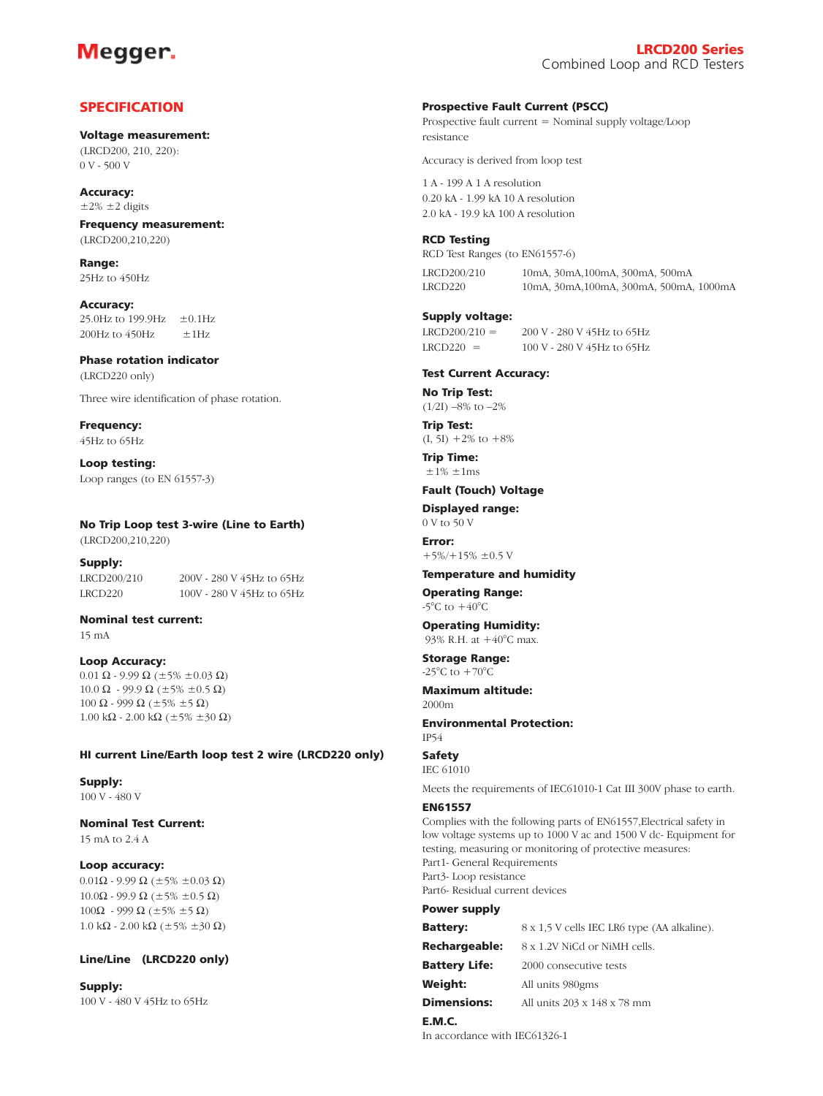# Megger.

# **SPECIFICATION**

**Voltage measurement:** (LRCD200, 210, 220): 0 V - 500 V

**Accuracy:**   $\pm 2\%$   $\pm 2$  digits

**Frequency measurement:**  (LRCD200,210,220)

**Range:**  25Hz to 450Hz

**Accuracy:**  25.0Hz to 199.9Hz  $\pm$ 0.1Hz 200Hz to  $450$ Hz  $\pm 1$ Hz

**Phase rotation indicator** (LRCD220 only)

Three wire identification of phase rotation.

**Frequency:**  45Hz to 65Hz

**Loop testing:** Loop ranges (to EN 61557-3)

# **No Trip Loop test 3-wire (Line to Earth)**

LRCD220 100V - 280 V 45Hz to 65Hz

(LRCD200,210,220)

**Supply:** LRCD200/210 200V - 280 V 45Hz to 65Hz

**Nominal test current:** 

15 mA

**Loop Accuracy:** 0.01 Ω - 9.99 Ω ( $\pm$ 5%  $\pm$ 0.03 Ω) 10.0 Ω - 99.9 Ω ( $\pm$ 5%  $\pm$ 0.5 Ω) 100 Ω - 999 Ω ( $\pm$ 5%  $\pm$ 5 Ω) 1.00 kΩ - 2.00 kΩ ( $\pm$ 5%  $\pm$ 30 Ω)

#### **HI current Line/Earth loop test 2 wire (LRCD220 only)**

**Supply:**  100 V - 480 V

**Nominal Test Current:**  15 mA to 2.4 A

#### **Loop accuracy:**

0.01Ω - 9.99 Ω ( $\pm$ 5%  $\pm$ 0.03 Ω) 10.0Ω - 99.9 Ω ( $\pm$ 5%  $\pm$ 0.5 Ω) 100Ω - 999 Ω ( $\pm$ 5%  $\pm$ 5 Ω) 1.0 kΩ - 2.00 kΩ (±5% ±30 Ω)

#### **Line/Line (LRCD220 only)**

**Supply:**  100 V - 480 V 45Hz to 65Hz

#### **Prospective Fault Current (PSCC)**

Prospective fault current = Nominal supply voltage/Loop resistance

Accuracy is derived from loop test

1 A - 199 A 1 A resolution 0.20 kA - 1.99 kA 10 A resolution 2.0 kA - 19.9 kA 100 A resolution

#### **RCD Testing**

RCD Test Ranges (to EN61557-6)

LRCD200/210 10mA, 30mA, 100mA, 300mA, 500mA<br>10mA 30mA 100mA 300mA 500mA LRCD220 10mA, 30mA,100mA, 300mA, 500mA, 1000mA

#### **Supply voltage:**

 $LRCD200/210 = 200 V - 280 V 45 Hz$  to 65Hz  $LRCD220 = 100 \text{ V} - 280 \text{ V} 45 \text{ Hz}$  to 65Hz

#### **Test Current Accuracy:**

**No Trip Test:**  $(1/2I) -8\%$  to  $-2\%$ 

**Trip Test:**   $(I, 5I) +2\%$  to  $+8\%$ 

**Trip Time:**  $\pm 1\%$   $\pm 1$ ms

#### **Fault (Touch) Voltage**

**Displayed range:**  0 V to 50 V

**Error:**   $+5\% +15\% \pm 0.5$  V

#### **Temperature and humidity**

**Operating Range:**   $-5^{\circ}$ C to  $+40^{\circ}$ C

**Operating Humidity:** 93% R.H. at +40°C max.

**Storage Range:**   $-25^{\circ}$ C to  $+70^{\circ}$ C

**Maximum altitude:**  2000m

#### **Environmental Protection:** IP54

**Safety**

IEC 61010

Meets the requirements of IEC61010-1 Cat III 300V phase to earth.

### **EN61557**

Complies with the following parts of EN61557,Electrical safety in low voltage systems up to 1000 V ac and 1500 V dc- Equipment for testing, measuring or monitoring of protective measures: Part1- General Requirements Part3- Loop resistance Part6- Residual current devices

#### **Power supply**

| <b>Battery:</b>      | 8 x 1,5 V cells IEC LR6 type (AA alkaline). |
|----------------------|---------------------------------------------|
| Rechargeable:        | 8 x 1.2V NiCd or NiMH cells.                |
| <b>Battery Life:</b> | 2000 consecutive tests                      |
| Weight:              | All units 980gms                            |
| <b>Dimensions:</b>   | All units 203 x 148 x 78 mm                 |
| E.M.C.               |                                             |

In accordance with IEC61326-1